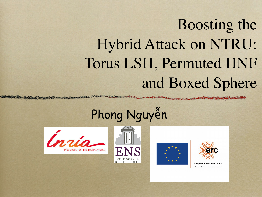# Boosting the Hybrid Attack on NTRU: Torus LSH, Permuted HNF and Boxed Sphere

### Phong Nguyễn









**European Research Council** Established by the European Commission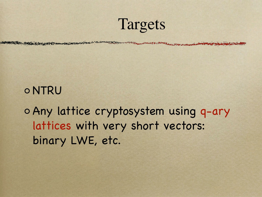

#### o NTRU

Any lattice cryptosystem using q-ary lattices with very short vectors: binary LWE, etc.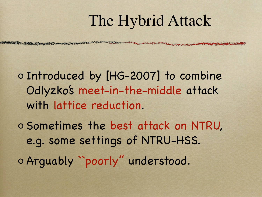### The Hybrid Attack

Introduced by [HG-2007] to combine Odlyzko's meet-in-the-middle attack with lattice reduction.

o Sometimes the best attack on NTRU, e.g. some settings of NTRU-HSS.

Arguably ``poorly'' understood.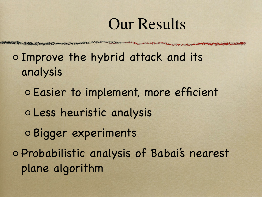### Our Results

- Improve the hybrid attack and its analysis
- Easier to implement, more efficient Less heuristic analysis Bigger experiments Probabilistic analysis of Babai's nearest plane algorithm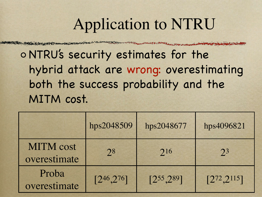## Application to NTRU

NTRU's security estimates for the hybrid attack are wrong: overestimating both the success probability and the MITM cost.

|                                  | hps2048509         | hps2048677         | hps4096821          |
|----------------------------------|--------------------|--------------------|---------------------|
| <b>MITM</b> cost<br>overestimate | 2 <sup>8</sup>     | 216                | 2 <sup>3</sup>      |
| Proba<br>overestimate            | $[2^{46}, 2^{76}]$ | $[2^{55}, 2^{89}]$ | $[2^{72}, 2^{115}]$ |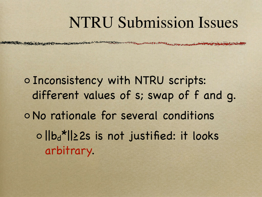### NTRU Submission Issues

Inconsistency with NTRU scripts: different values of s; swap of f and g. No rationale for several conditions ||bd\*||≥2s is not justified: it looks arbitrary.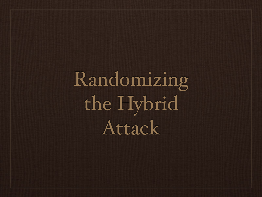Randomizing the Hybrid Attack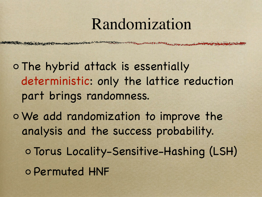### Randomization

The hybrid attack is essentially deterministic: only the lattice reduction part brings randomness.

We add randomization to improve the analysis and the success probability.

Torus Locality-Sensitive-Hashing (LSH)

Permuted HNF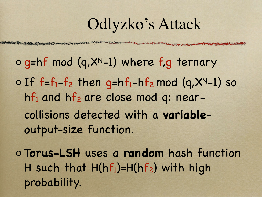### Odlyzko's Attack

o g=hf mod (q, X<sup>N</sup>-1) where f,g ternary o If  $f=f_1-f_2$  then  $g=hf_1-hf_2 \mod (q, X^N-1)$  so  $hf_1$  and  $hf_2$  are close mod q: nearcollisions detected with a **variable**output-size function.

**Torus-LSH** uses a **random** hash function H such that  $H(hf_1)=H(hf_2)$  with high probability.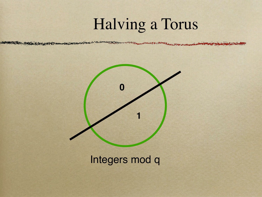## Halving a Torus



#### Integers mod q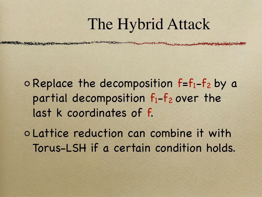### The Hybrid Attack

 $\circ$  Replace the decomposition  $f=f_1-f_2$  by a partial decomposition  $f_1-f_2$  over the last k coordinates of f.

Lattice reduction can combine it with Torus-LSH if a certain condition holds.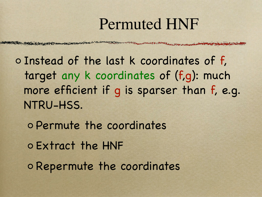### Permuted HNF

Instead of the last k coordinates of f, target any k coordinates of (f,g): much more efficient if g is sparser than f, e.g. NTRU-HSS.

Permute the coordinates

Extract the HNF

Repermute the coordinates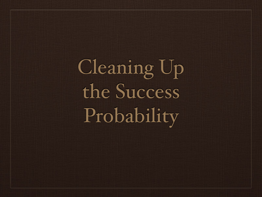Cleaning Up the Success Probability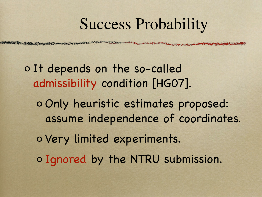### Success Probability

o It depends on the so-called admissibility condition [HG07]. Only heuristic estimates proposed: assume independence of coordinates. o Very limited experiments. o Ignored by the NTRU submission.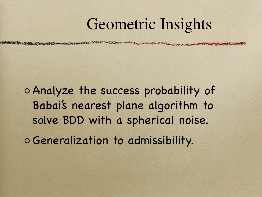### Geometric Insights

Analyze the success probability of Babai's nearest plane algorithm to solve BDD with a spherical noise. Generalization to admissibility.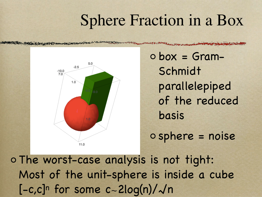### Sphere Fraction in a Box



 $obox = Gram-$ Schmidt parallelepiped of the reduced basis

sphere = noise

The worst-case analysis is not tight: Most of the unit-sphere is inside a cube [-c,c]n for some c∼2log(n)/√n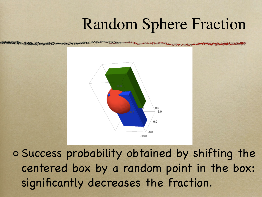### Random Sphere Fraction



o Success probability obtained by shifting the centered box by a random point in the box: significantly decreases the fraction.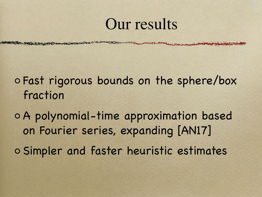### Our results

Fast rigorous bounds on the sphere/box fraction

A polynomial-time approximation based on Fourier series, expanding [AN17] Simpler and faster heuristic estimates